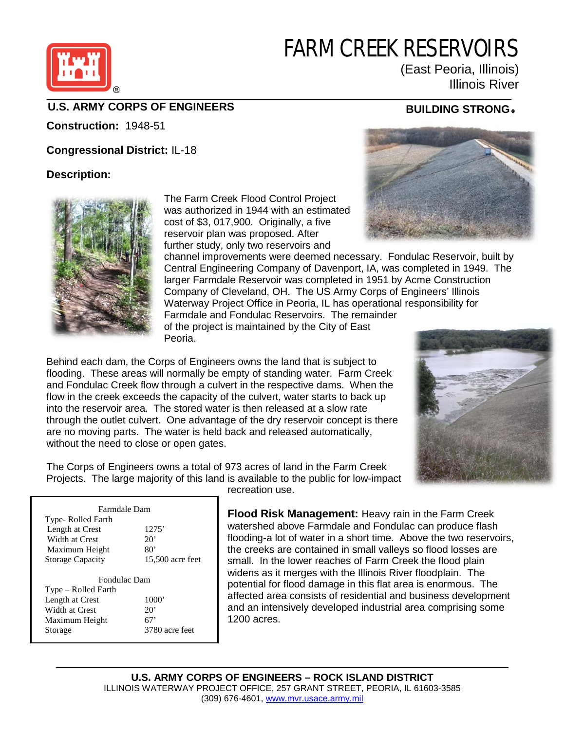# FARM CREEK RESERVOIRS



#### (East Peoria, Illinois) Illinois River

### **U.S. ARMY CORPS OF ENGINEERS BUILDING STRONG**

**Construction:** 1948-51

**Congressional District:** IL-18

#### **Description:**



The Farm Creek Flood Control Project was authorized in 1944 with an estimated cost of \$3, 017,900. Originally, a five reservoir plan was proposed. After further study, only two reservoirs and



channel improvements were deemed necessary. Fondulac Reservoir, built by Central Engineering Company of Davenport, IA, was completed in 1949. The larger Farmdale Reservoir was completed in 1951 by Acme Construction Company of Cleveland, OH. The US Army Corps of Engineers' Illinois Waterway Project Office in Peoria, IL has operational responsibility for Farmdale and Fondulac Reservoirs. The remainder of the project is maintained by the City of East

Peoria.

Behind each dam, the Corps of Engineers owns the land that is subject to flooding. These areas will normally be empty of standing water. Farm Creek and Fondulac Creek flow through a culvert in the respective dams. When the flow in the creek exceeds the capacity of the culvert, water starts to back up into the reservoir area. The stored water is then released at a slow rate through the outlet culvert. One advantage of the dry reservoir concept is there are no moving parts. The water is held back and released automatically, without the need to close or open gates.



The Corps of Engineers owns a total of 973 acres of land in the Farm Creek Projects. The large majority of this land is available to the public for low-impact recreation use.

| Farmdale Dam            |                  |
|-------------------------|------------------|
| Type- Rolled Earth      |                  |
| Length at Crest         | 1275'            |
| Width at Crest          | $20^{\circ}$     |
| Maximum Height          | 80'              |
| <b>Storage Capacity</b> | 15,500 acre feet |
| <b>Fondulac Dam</b>     |                  |
| Type – Rolled Earth     |                  |
| Length at Crest         | 1000'            |
| Width at Crest          | $20^{\circ}$     |
| Maximum Height          | 67'              |
| Storage                 | 3780 acre feet   |

**Flood Risk Management:** Heavy rain in the Farm Creek watershed above Farmdale and Fondulac can produce flash flooding-a lot of water in a short time. Above the two reservoirs, the creeks are contained in small valleys so flood losses are small. In the lower reaches of Farm Creek the flood plain widens as it merges with the Illinois River floodplain. The potential for flood damage in this flat area is enormous. The affected area consists of residential and business development and an intensively developed industrial area comprising some 1200 acres.